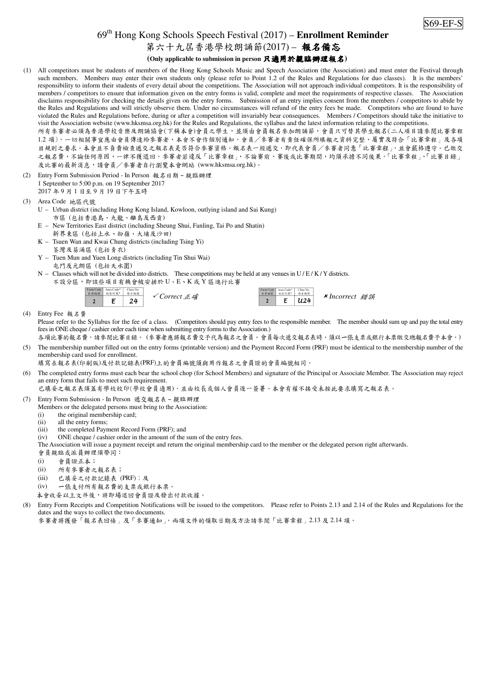## 69th Hong Kong Schools Speech Festival (2017) – **Enrollment Reminder**

## 第六十九屆香港學校朗誦節(2017) - 報名備忘

## **(Only applicable to submission in person** 只適用於親臨辦理報名**)**

- (1) All competitors must be students of members of the Hong Kong Schools Music and Speech Association (the Association) and must enter the Festival through such members. Members may enter their own students only (please refer to Point 1.2 of the Rules and Regulations for duo classes). It is the members' responsibility to inform their students of every detail about the competitions. The Association will not approach individual competitors. It is the responsibility of members / competitors to ensure that information given on the entry forms is valid, complete and meet the requirements of respective classes. The Association disclaims responsibility for checking the details given on the entry forms. Submission of an entry implies consent from the members / competitors to abide by the Rules and Regulations and will strictly observe them. Under no circumstances will refund of the entry fees be made. Competitors who are found to have violated the Rules and Regulations before, during or after a competition will invariably bear consequences. Members / Competitors should take the initiative to visit the Association website (www.hksmsa.org.hk) for the Rules and Regulations, the syllabus and the latest information relating to the competitions. 所有參賽者必須為香港學校音樂及朗誦協會(下稱本會)會員之學生,並須由會員報名參加朗誦節,會員只可替其學生報名(二人項目請參閱比賽章程 1.2 項)。一切相關事宜應由會員傳達給參賽者,本會不會作個別通知。會員/參賽者有責任確保所填報之資料完整、屬實及符合「比賽章程」及各項 目規則之要求。本會並不負責檢查遞交之報名表是否符合參賽資格。報名表一經遞交,即代表會員/參賽者同意「比賽章程」,並會嚴格遵守。已繳交 之報名費,不論任何原因,一律不獲退回。參賽者若違反「比賽章程」,不論賽前、賽後或比賽期間,均須承擔不同後果。「比賽章程」、「比賽目錄」 及比賽的最新消息,請會員/參賽者自行瀏覽本會網站 (www.hksmsa.org.hk)。
- (2) Entry Form Submission Period In Person 報名日期–親臨辦理 1 September to 5:00 p.m. on 19 September 2017 2017 年 9 月 1 日至 9 月 19 日下午五時
- (3) Area Code 地區代號
	- U Urban district (including Hong Kong Island, Kowloon, outlying island and Sai Kung) 市區 (包括香港島、九龍、離島及西貢)
	- E New Territories East district (including Sheung Shui, Fanling, Tai Po and Shatin)
		- 新界東區 (包括上水、粉嶺、大埔及沙田)
	- K Tsuen Wan and Kwai Chung districts (including Tsing Yi) 荃灣及葵涌區 (包括青衣)
	- Y Tuen Mun and Yuen Long districts (including Tin Shui Wai) 屯門及元朗區 (包括天水圍)
	- $N -$  Classes which will not be divided into districts. These competitions may be held at any venues in U/E/K/Y districts.
		- 不設分區,即該些項目有機會被安排於 U、E、K 或 Y 區進行比賽

| Form Code | Area Code* | Class No. |               |
|-----------|------------|-----------|---------------|
| 表格编號      | 地區代號*      | 項目編號      |               |
|           |            | 24        | <b>√Corre</b> |

|              | Form Code Area Code*<br>表格编號 地区代数* | Class No.<br>項目編號 |                      |  |
|--------------|------------------------------------|-------------------|----------------------|--|
| ✔ Correct 正確 | 2 $E$ $U24$                        |                   | <b>*Incorrect</b> 錯誤 |  |
|              |                                    |                   |                      |  |

(4) Entry Fee 報名費

Please refer to the Syllabus for the fee of a class. (Competitors should pay entry fees to the responsible member. The member should sum up and pay the total entry fees in ONE cheque / cashier order each time when submitting entry forms to the Association.)

各項比賽的報名費,請參閱比賽目錄。 (參賽者應將報名費交予代為報名之會員。會員每次遞交報名表時,須以一張支票或銀行本票繳交總報名費予本會。) (5) The membership number filled out on the entry forms (printable version) and the Payment Record Form (PRF) must be identical to the membership number of the membership card used for enrollment.

填寫在報名表(印刷版)及付款記錄表(PRF)上的會員編號須與用作報名之會員證的會員編號相同。

The completed entry forms must each bear the school chop (for School Members) and signature of the Principal or Associate Member. The Association may reject an entry form that fails to meet such requirement.

已填妥之報名表須蓋有學校校印(學校會員適用),並由校長或個人會員逐一簽署。本會有權不接受未按此要求填寫之報名表。

- (7) Entry Form Submission In Person 遞交報名表–親臨辦理
	- Members or the delegated persons must bring to the Association:
	- (i) the original membership card;
	- (ii) all the entry forms;
	- (iii) the completed Payment Record Form (PRF); and
	- (iv) ONE cheque / cashier order in the amount of the sum of the entry fees.

The Association will issue a payment receipt and return the original membership card to the member or the delegated person right afterwards.

會員親臨或派員辦理須帶同:

- (i) 會員證正本;
- (ii) 所有參賽者之報名表;
- (iii) 已填妥之付款記錄表 (PRF);及
- (iv) 一張支付所有報名費的支票或銀行本票。
- 本會收妥以上文件後,將即場退回會員證及發出付款收據。
- (8) Entry Form Receipts and Competition Notifications will be issued to the competitors. Please refer to Points 2.13 and 2.14 of the Rules and Regulations for the dates and the ways to collect the two documents.
	- 參賽者將獲發「報名表回條」及「參賽通知」,兩項文件的領取日期及方法請參閱「比賽章程」2.13 及 2.14 項。